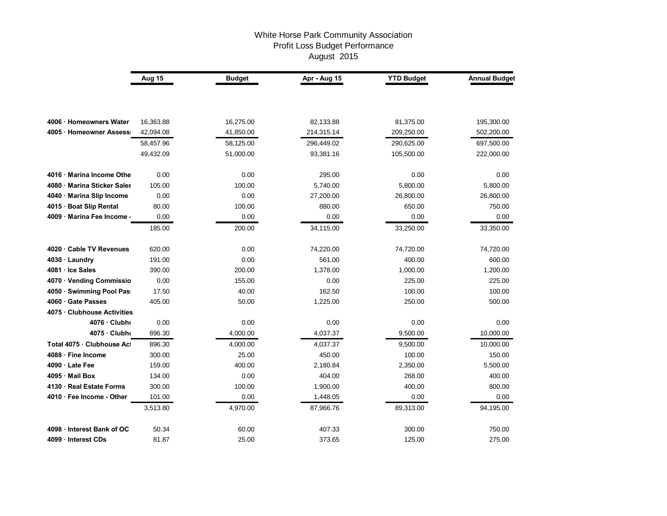## White Horse Park Community Association Profit Loss Budget Performance August 2015

|                               | Aug 15    | <b>Budget</b> | Apr - Aug 15 | <b>YTD Budget</b> | <b>Annual Budget</b> |
|-------------------------------|-----------|---------------|--------------|-------------------|----------------------|
|                               |           |               |              |                   |                      |
|                               |           |               |              |                   |                      |
| 4006 · Homeowners Water       | 16,363.88 | 16,275.00     | 82,133.88    | 81,375.00         | 195,300.00           |
| 4005 · Homeowner Assess       | 42,094.08 | 41,850.00     | 214,315.14   | 209,250.00        | 502,200.00           |
|                               | 58,457.96 | 58,125.00     | 296,449.02   | 290,625.00        | 697,500.00           |
|                               | 49,432.09 | 51,000.00     | 93,381.16    | 105,500.00        | 222,000.00           |
| 4016 Marina Income Othe       | 0.00      | 0.00          | 295.00       | 0.00              | 0.00                 |
| 4080 Marina Sticker Sales     | 105.00    | 100.00        | 5,740.00     | 5,800.00          | 5,800.00             |
| · Marina Slip Income<br>4040  | 0.00      | 0.00          | 27,200.00    | 26,800.00         | 26,800.00            |
| · Boat Slip Rental<br>4015    | 80.00     | 100.00        | 880.00       | 650.00            | 750.00               |
| · Marina Fee Income ·<br>4009 | 0.00      | 0.00          | 0.00         | 0.00              | 0.00                 |
|                               | 185.00    | 200.00        | 34,115.00    | 33,250.00         | 33,350.00            |
| 4020 · Cable TV Revenues      | 620.00    | 0.00          | 74,220.00    | 74,720.00         | 74,720.00            |
| 4030 · Laundry                | 191.00    | 0.00          | 561.00       | 400.00            | 600.00               |
| 4081 · Ice Sales              | 390.00    | 200.00        | 1,378.00     | 1,000.00          | 1,200.00             |
| 4070 · Vending Commissio      | 0.00      | 155.00        | 0.00         | 225.00            | 225.00               |
| 4050 · Swimming Pool Pas      | 17.50     | 40.00         | 162.50       | 100.00            | 100.00               |
| 4060 · Gate Passes            | 405.00    | 50.00         | 1,225.00     | 250.00            | 500.00               |
| 4075 · Clubhouse Activities   |           |               |              |                   |                      |
| 4076 Clubho                   | 0.00      | 0.00          | 0.00         | 0.00              | 0.00                 |
| 4075 · Clubho                 | 896.30    | 4,000.00      | 4,037.37     | 9,500.00          | 10,000.00            |
| Total 4075 · Clubhouse Act    | 896.30    | 4,000.00      | 4,037.37     | 9,500.00          | 10,000.00            |
| 4088 · Fine Income            | 300.00    | 25.00         | 450.00       | 100.00            | 150.00               |
| 4090 · Late Fee               | 159.00    | 400.00        | 2,180.84     | 2,350.00          | 5,500.00             |
| 4095 Mail Box                 | 134.00    | 0.00          | 404.00       | 268.00            | 400.00               |
| · Real Estate Forms<br>4130   | 300.00    | 100.00        | 1,900.00     | 400.00            | 800.00               |
| 4010 · Fee Income - Other     | 101.00    | 0.00          | 1,448.05     | 0.00              | 0.00                 |
|                               | 3,513.80  | 4,970.00      | 87,966.76    | 89,313.00         | 94,195.00            |
| 4098 · Interest Bank of OC    | 50.34     | 60.00         | 407.33       | 300.00            | 750.00               |
| 4099 · Interest CDs           | 81.87     | 25.00         | 373.65       | 125.00            | 275.00               |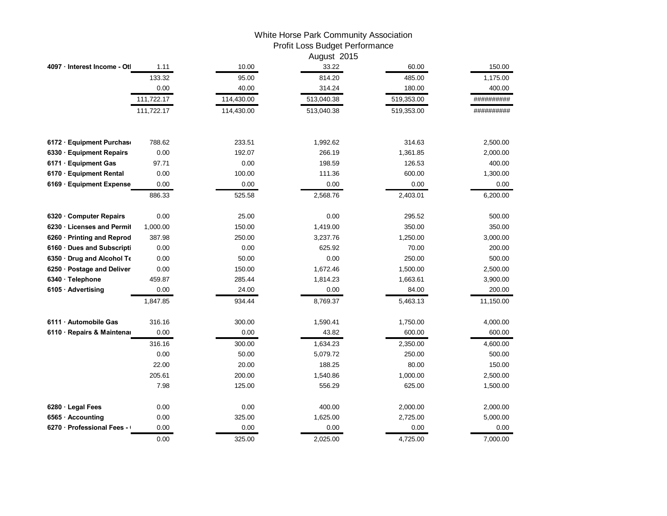## White Horse Park Community Association Profit Loss Budget Performance

|                              |            |            | August 2015 |            |            |
|------------------------------|------------|------------|-------------|------------|------------|
| 4097 · Interest Income - Otl | 1.11       | 10.00      | 33.22       | 60.00      | 150.00     |
|                              | 133.32     | 95.00      | 814.20      | 485.00     | 1,175.00   |
|                              | 0.00       | 40.00      | 314.24      | 180.00     | 400.00     |
|                              | 111,722.17 | 114,430.00 | 513,040.38  | 519,353.00 | ########## |
|                              | 111,722.17 | 114,430.00 | 513,040.38  | 519,353.00 | ########## |
| 6172 · Equipment Purchas     | 788.62     | 233.51     | 1,992.62    | 314.63     | 2,500.00   |
| 6330 · Equipment Repairs     | 0.00       | 192.07     | 266.19      | 1,361.85   | 2,000.00   |
| 6171 · Equipment Gas         | 97.71      | 0.00       | 198.59      | 126.53     | 400.00     |
| 6170 · Equipment Rental      | 0.00       | 100.00     | 111.36      | 600.00     | 1,300.00   |
| 6169 · Equipment Expense     | 0.00       | 0.00       | 0.00        | 0.00       | 0.00       |
|                              | 886.33     | 525.58     | 2,568.76    | 2,403.01   | 6,200.00   |
| 6320 · Computer Repairs      | 0.00       | 25.00      | 0.00        | 295.52     | 500.00     |
| 6230 Licenses and Permit     | 1,000.00   | 150.00     | 1,419.00    | 350.00     | 350.00     |
| 6260 · Printing and Reprod   | 387.98     | 250.00     | 3,237.76    | 1,250.00   | 3,000.00   |
| 6160 Dues and Subscripti     | 0.00       | 0.00       | 625.92      | 70.00      | 200.00     |
| 6350 Drug and Alcohol To     | 0.00       | 50.00      | 0.00        | 250.00     | 500.00     |
| 6250 · Postage and Deliver   | 0.00       | 150.00     | 1,672.46    | 1,500.00   | 2,500.00   |
| 6340 · Telephone             | 459.87     | 285.44     | 1,814.23    | 1,663.61   | 3,900.00   |
| 6105 · Advertising           | 0.00       | 24.00      | 0.00        | 84.00      | 200.00     |
|                              | 1,847.85   | 934.44     | 8,769.37    | 5,463.13   | 11,150.00  |
| 6111 Automobile Gas          | 316.16     | 300.00     | 1,590.41    | 1,750.00   | 4,000.00   |
| 6110 · Repairs & Maintenar   | 0.00       | 0.00       | 43.82       | 600.00     | 600.00     |
|                              | 316.16     | 300.00     | 1,634.23    | 2,350.00   | 4,600.00   |
|                              | 0.00       | 50.00      | 5,079.72    | 250.00     | 500.00     |
|                              | 22.00      | 20.00      | 188.25      | 80.00      | 150.00     |
|                              | 205.61     | 200.00     | 1,540.86    | 1,000.00   | 2,500.00   |
|                              | 7.98       | 125.00     | 556.29      | 625.00     | 1,500.00   |
| 6280 · Legal Fees            | 0.00       | 0.00       | 400.00      | 2,000.00   | 2,000.00   |
| 6565 · Accounting            | 0.00       | 325.00     | 1,625.00    | 2,725.00   | 5,000.00   |
| 6270 · Professional Fees -   | 0.00       | 0.00       | 0.00        | 0.00       | 0.00       |
|                              | 0.00       | 325.00     | 2,025.00    | 4,725.00   | 7,000.00   |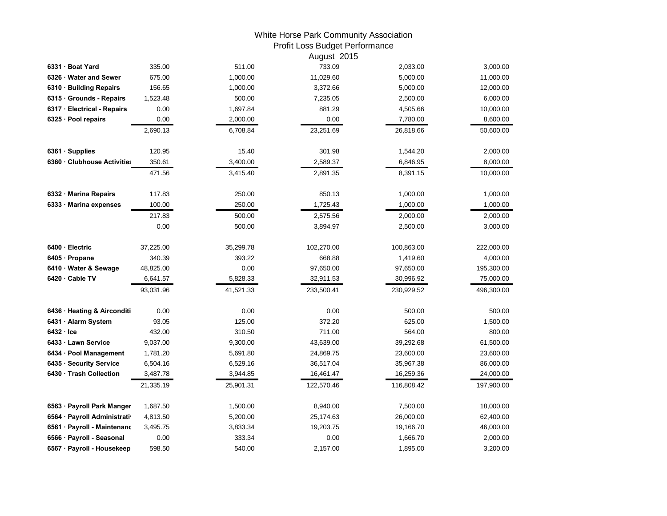## White Horse Park Community Association Profit Loss Budget Performance

|                             |           |           | August 2015 |            |            |
|-----------------------------|-----------|-----------|-------------|------------|------------|
| 6331 · Boat Yard            | 335.00    | 511.00    | 733.09      | 2,033.00   | 3,000.00   |
| 6326 Water and Sewer        | 675.00    | 1,000.00  | 11,029.60   | 5,000.00   | 11,000.00  |
| 6310 · Building Repairs     | 156.65    | 1,000.00  | 3,372.66    | 5,000.00   | 12,000.00  |
| 6315 · Grounds - Repairs    | 1,523.48  | 500.00    | 7,235.05    | 2,500.00   | 6,000.00   |
| 6317 · Electrical - Repairs | 0.00      | 1,697.84  | 881.29      | 4,505.66   | 10,000.00  |
| 6325 · Pool repairs         | 0.00      | 2,000.00  | 0.00        | 7,780.00   | 8,600.00   |
|                             | 2,690.13  | 6,708.84  | 23,251.69   | 26,818.66  | 50,600.00  |
| 6361 · Supplies             | 120.95    | 15.40     | 301.98      | 1,544.20   | 2,000.00   |
| 6360 · Clubhouse Activities | 350.61    | 3,400.00  | 2,589.37    | 6,846.95   | 8,000.00   |
|                             | 471.56    | 3,415.40  | 2,891.35    | 8,391.15   | 10,000.00  |
| 6332 · Marina Repairs       | 117.83    | 250.00    | 850.13      | 1,000.00   | 1,000.00   |
| 6333 Marina expenses        | 100.00    | 250.00    | 1,725.43    | 1,000.00   | 1,000.00   |
|                             | 217.83    | 500.00    | 2,575.56    | 2,000.00   | 2,000.00   |
|                             | 0.00      | 500.00    | 3,894.97    | 2,500.00   | 3,000.00   |
| 6400 · Electric             | 37,225.00 | 35,299.78 | 102,270.00  | 100,863.00 | 222,000.00 |
| 6405 · Propane              | 340.39    | 393.22    | 668.88      | 1,419.60   | 4,000.00   |
| 6410 · Water & Sewage       | 48,825.00 | 0.00      | 97,650.00   | 97,650.00  | 195,300.00 |
| 6420 Cable TV               | 6,641.57  | 5,828.33  | 32,911.53   | 30,996.92  | 75,000.00  |
|                             | 93,031.96 | 41,521.33 | 233,500.41  | 230,929.52 | 496,300.00 |
| 6436 · Heating & Airconditi | 0.00      | 0.00      | 0.00        | 500.00     | 500.00     |
| 6431 · Alarm System         | 93.05     | 125.00    | 372.20      | 625.00     | 1,500.00   |
| $6432 \cdot$ Ice            | 432.00    | 310.50    | 711.00      | 564.00     | 800.00     |
| 6433 · Lawn Service         | 9,037.00  | 9,300.00  | 43,639.00   | 39,292.68  | 61,500.00  |
| 6434 · Pool Management      | 1,781.20  | 5,691.80  | 24,869.75   | 23,600.00  | 23,600.00  |
| 6435 · Security Service     | 6,504.16  | 6,529.16  | 36,517.04   | 35,967.38  | 86,000.00  |
| 6430 · Trash Collection     | 3,487.78  | 3,944.85  | 16,461.47   | 16,259.36  | 24,000.00  |
|                             | 21,335.19 | 25,901.31 | 122,570.46  | 116,808.42 | 197,900.00 |
| 6563 · Payroll Park Manger  | 1,687.50  | 1,500.00  | 8,940.00    | 7,500.00   | 18,000.00  |
| 6564 · Payroll Administrati | 4,813.50  | 5,200.00  | 25,174.63   | 26,000.00  | 62,400.00  |
| 6561 · Payroll - Maintenand | 3,495.75  | 3,833.34  | 19,203.75   | 19,166.70  | 46,000.00  |
| 6566 · Payroll - Seasonal   | 0.00      | 333.34    | 0.00        | 1,666.70   | 2,000.00   |
| 6567 · Payroll - Housekeep  | 598.50    | 540.00    | 2,157.00    | 1,895.00   | 3,200.00   |